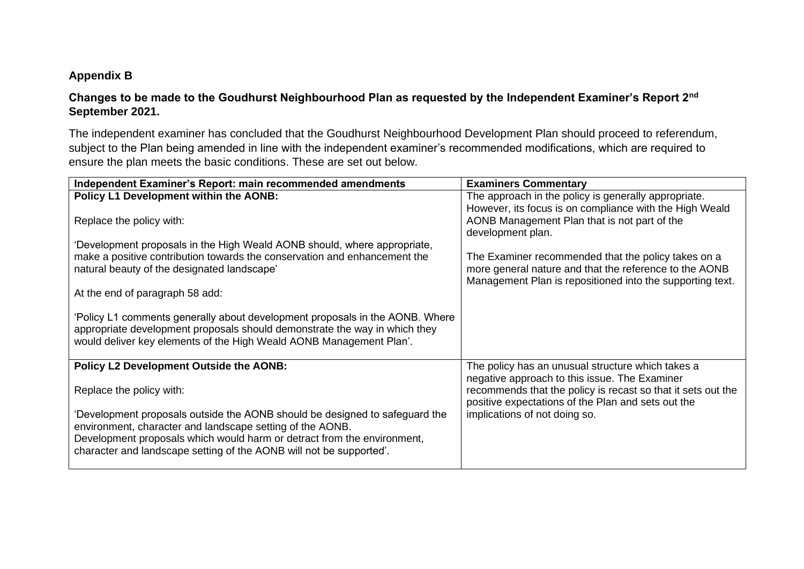## **Appendix B**

## **Changes to be made to the Goudhurst Neighbourhood Plan as requested by the Independent Examiner's Report 2nd September 2021.**

The independent examiner has concluded that the Goudhurst Neighbourhood Development Plan should proceed to referendum, subject to the Plan being amended in line with the independent examiner's recommended modifications, which are required to ensure the plan meets the basic conditions. These are set out below.

| Independent Examiner's Report: main recommended amendments                                                                                                                                                                                                                                | <b>Examiners Commentary</b>                                                                                                                                                |
|-------------------------------------------------------------------------------------------------------------------------------------------------------------------------------------------------------------------------------------------------------------------------------------------|----------------------------------------------------------------------------------------------------------------------------------------------------------------------------|
| Policy L1 Development within the AONB:                                                                                                                                                                                                                                                    | The approach in the policy is generally appropriate.<br>However, its focus is on compliance with the High Weald                                                            |
| Replace the policy with:                                                                                                                                                                                                                                                                  | AONB Management Plan that is not part of the<br>development plan.                                                                                                          |
| 'Development proposals in the High Weald AONB should, where appropriate,                                                                                                                                                                                                                  |                                                                                                                                                                            |
| make a positive contribution towards the conservation and enhancement the<br>natural beauty of the designated landscape'                                                                                                                                                                  | The Examiner recommended that the policy takes on a<br>more general nature and that the reference to the AONB<br>Management Plan is repositioned into the supporting text. |
| At the end of paragraph 58 add:                                                                                                                                                                                                                                                           |                                                                                                                                                                            |
| 'Policy L1 comments generally about development proposals in the AONB. Where<br>appropriate development proposals should demonstrate the way in which they<br>would deliver key elements of the High Weald AONB Management Plan'.                                                         |                                                                                                                                                                            |
| Policy L2 Development Outside the AONB:                                                                                                                                                                                                                                                   | The policy has an unusual structure which takes a<br>negative approach to this issue. The Examiner                                                                         |
| Replace the policy with:                                                                                                                                                                                                                                                                  | recommends that the policy is recast so that it sets out the<br>positive expectations of the Plan and sets out the                                                         |
| Development proposals outside the AONB should be designed to safeguard the<br>environment, character and landscape setting of the AONB.<br>Development proposals which would harm or detract from the environment,<br>character and landscape setting of the AONB will not be supported'. | implications of not doing so.                                                                                                                                              |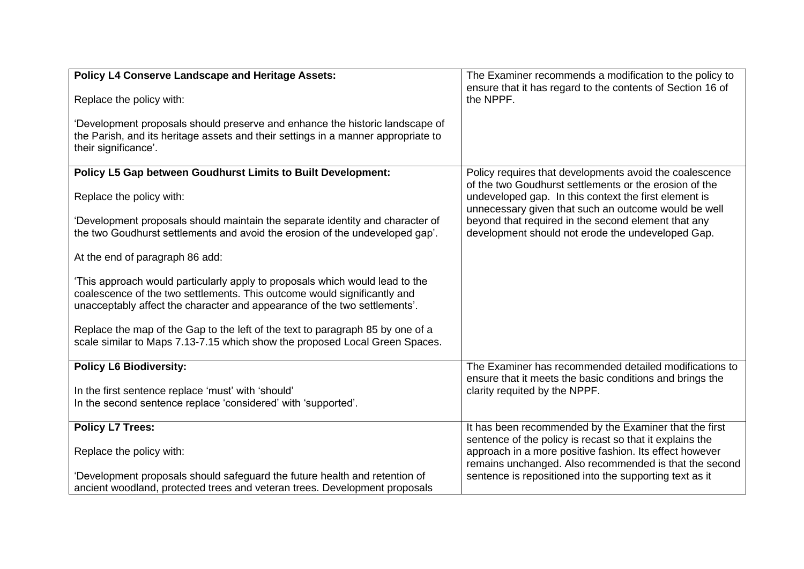| <b>Policy L4 Conserve Landscape and Heritage Assets:</b>                                                                                                                                                                             | The Examiner recommends a modification to the policy to                                                                                                                       |
|--------------------------------------------------------------------------------------------------------------------------------------------------------------------------------------------------------------------------------------|-------------------------------------------------------------------------------------------------------------------------------------------------------------------------------|
| Replace the policy with:                                                                                                                                                                                                             | ensure that it has regard to the contents of Section 16 of<br>the NPPF.                                                                                                       |
| Development proposals should preserve and enhance the historic landscape of<br>the Parish, and its heritage assets and their settings in a manner appropriate to<br>their significance'.                                             |                                                                                                                                                                               |
| <b>Policy L5 Gap between Goudhurst Limits to Built Development:</b>                                                                                                                                                                  | Policy requires that developments avoid the coalescence                                                                                                                       |
| Replace the policy with:                                                                                                                                                                                                             | of the two Goudhurst settlements or the erosion of the<br>undeveloped gap. In this context the first element is<br>unnecessary given that such an outcome would be well       |
| 'Development proposals should maintain the separate identity and character of<br>the two Goudhurst settlements and avoid the erosion of the undeveloped gap'.                                                                        | beyond that required in the second element that any<br>development should not erode the undeveloped Gap.                                                                      |
| At the end of paragraph 86 add:                                                                                                                                                                                                      |                                                                                                                                                                               |
| This approach would particularly apply to proposals which would lead to the<br>coalescence of the two settlements. This outcome would significantly and<br>unacceptably affect the character and appearance of the two settlements'. |                                                                                                                                                                               |
| Replace the map of the Gap to the left of the text to paragraph 85 by one of a<br>scale similar to Maps 7.13-7.15 which show the proposed Local Green Spaces.                                                                        |                                                                                                                                                                               |
| <b>Policy L6 Biodiversity:</b>                                                                                                                                                                                                       | The Examiner has recommended detailed modifications to                                                                                                                        |
| In the first sentence replace 'must' with 'should'<br>In the second sentence replace 'considered' with 'supported'.                                                                                                                  | ensure that it meets the basic conditions and brings the<br>clarity requited by the NPPF.                                                                                     |
| <b>Policy L7 Trees:</b>                                                                                                                                                                                                              | It has been recommended by the Examiner that the first                                                                                                                        |
| Replace the policy with:                                                                                                                                                                                                             | sentence of the policy is recast so that it explains the<br>approach in a more positive fashion. Its effect however<br>remains unchanged. Also recommended is that the second |
| 'Development proposals should safeguard the future health and retention of                                                                                                                                                           | sentence is repositioned into the supporting text as it                                                                                                                       |
| ancient woodland, protected trees and veteran trees. Development proposals                                                                                                                                                           |                                                                                                                                                                               |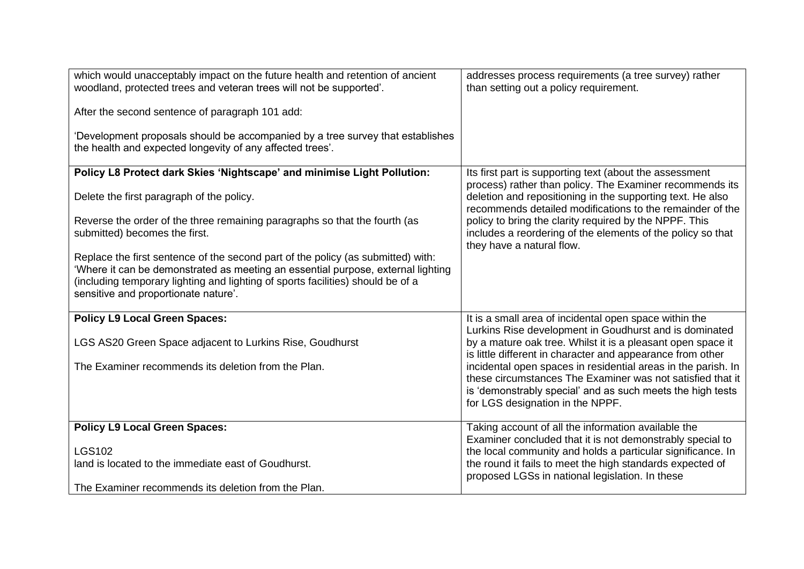| which would unacceptably impact on the future health and retention of ancient                                                                                                                                                                                                                                                                                                                                                                              | addresses process requirements (a tree survey) rather                                                                                                                                                                                                                                                                                                                            |
|------------------------------------------------------------------------------------------------------------------------------------------------------------------------------------------------------------------------------------------------------------------------------------------------------------------------------------------------------------------------------------------------------------------------------------------------------------|----------------------------------------------------------------------------------------------------------------------------------------------------------------------------------------------------------------------------------------------------------------------------------------------------------------------------------------------------------------------------------|
| woodland, protected trees and veteran trees will not be supported'.                                                                                                                                                                                                                                                                                                                                                                                        | than setting out a policy requirement.                                                                                                                                                                                                                                                                                                                                           |
| After the second sentence of paragraph 101 add:<br>Development proposals should be accompanied by a tree survey that establishes<br>the health and expected longevity of any affected trees'.                                                                                                                                                                                                                                                              |                                                                                                                                                                                                                                                                                                                                                                                  |
| Policy L8 Protect dark Skies 'Nightscape' and minimise Light Pollution:                                                                                                                                                                                                                                                                                                                                                                                    | Its first part is supporting text (about the assessment                                                                                                                                                                                                                                                                                                                          |
| Delete the first paragraph of the policy.<br>Reverse the order of the three remaining paragraphs so that the fourth (as<br>submitted) becomes the first.<br>Replace the first sentence of the second part of the policy (as submitted) with:<br>Where it can be demonstrated as meeting an essential purpose, external lighting<br>(including temporary lighting and lighting of sports facilities) should be of a<br>sensitive and proportionate nature'. | process) rather than policy. The Examiner recommends its<br>deletion and repositioning in the supporting text. He also<br>recommends detailed modifications to the remainder of the<br>policy to bring the clarity required by the NPPF. This<br>includes a reordering of the elements of the policy so that<br>they have a natural flow.                                        |
| <b>Policy L9 Local Green Spaces:</b>                                                                                                                                                                                                                                                                                                                                                                                                                       | It is a small area of incidental open space within the                                                                                                                                                                                                                                                                                                                           |
| LGS AS20 Green Space adjacent to Lurkins Rise, Goudhurst<br>The Examiner recommends its deletion from the Plan.                                                                                                                                                                                                                                                                                                                                            | Lurkins Rise development in Goudhurst and is dominated<br>by a mature oak tree. Whilst it is a pleasant open space it<br>is little different in character and appearance from other<br>incidental open spaces in residential areas in the parish. In<br>these circumstances The Examiner was not satisfied that it<br>is 'demonstrably special' and as such meets the high tests |
|                                                                                                                                                                                                                                                                                                                                                                                                                                                            | for LGS designation in the NPPF.                                                                                                                                                                                                                                                                                                                                                 |
| <b>Policy L9 Local Green Spaces:</b><br><b>LGS102</b><br>land is located to the immediate east of Goudhurst.                                                                                                                                                                                                                                                                                                                                               | Taking account of all the information available the<br>Examiner concluded that it is not demonstrably special to<br>the local community and holds a particular significance. In<br>the round it fails to meet the high standards expected of<br>proposed LGSs in national legislation. In these                                                                                  |
| The Examiner recommends its deletion from the Plan.                                                                                                                                                                                                                                                                                                                                                                                                        |                                                                                                                                                                                                                                                                                                                                                                                  |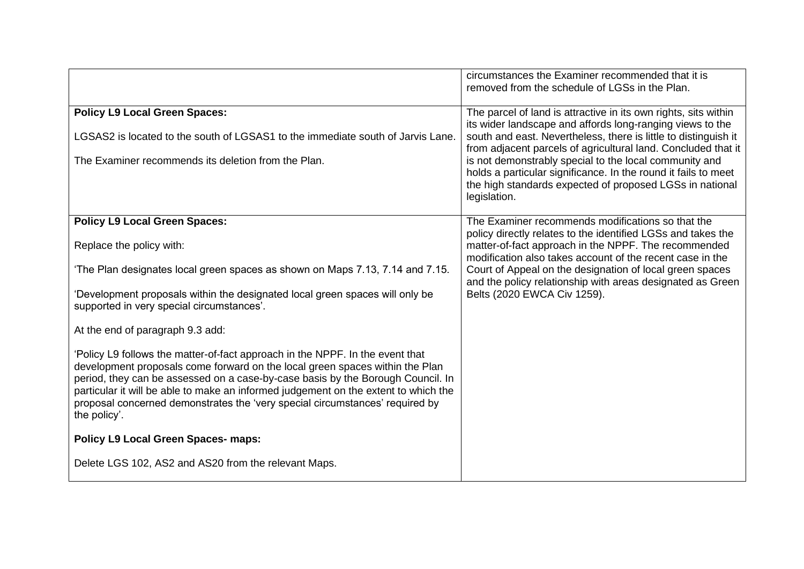|                                                                                                                                                                                                                                                                                                                                                                                                                                         | circumstances the Examiner recommended that it is<br>removed from the schedule of LGSs in the Plan.                                                                                                  |
|-----------------------------------------------------------------------------------------------------------------------------------------------------------------------------------------------------------------------------------------------------------------------------------------------------------------------------------------------------------------------------------------------------------------------------------------|------------------------------------------------------------------------------------------------------------------------------------------------------------------------------------------------------|
| <b>Policy L9 Local Green Spaces:</b>                                                                                                                                                                                                                                                                                                                                                                                                    | The parcel of land is attractive in its own rights, sits within<br>its wider landscape and affords long-ranging views to the                                                                         |
| LGSAS2 is located to the south of LGSAS1 to the immediate south of Jarvis Lane.                                                                                                                                                                                                                                                                                                                                                         | south and east. Nevertheless, there is little to distinguish it<br>from adjacent parcels of agricultural land. Concluded that it                                                                     |
| The Examiner recommends its deletion from the Plan.                                                                                                                                                                                                                                                                                                                                                                                     | is not demonstrably special to the local community and<br>holds a particular significance. In the round it fails to meet<br>the high standards expected of proposed LGSs in national<br>legislation. |
| <b>Policy L9 Local Green Spaces:</b>                                                                                                                                                                                                                                                                                                                                                                                                    | The Examiner recommends modifications so that the<br>policy directly relates to the identified LGSs and takes the                                                                                    |
| Replace the policy with:                                                                                                                                                                                                                                                                                                                                                                                                                | matter-of-fact approach in the NPPF. The recommended<br>modification also takes account of the recent case in the                                                                                    |
| 'The Plan designates local green spaces as shown on Maps 7.13, 7.14 and 7.15.                                                                                                                                                                                                                                                                                                                                                           | Court of Appeal on the designation of local green spaces<br>and the policy relationship with areas designated as Green                                                                               |
| 'Development proposals within the designated local green spaces will only be<br>supported in very special circumstances'.                                                                                                                                                                                                                                                                                                               | Belts (2020 EWCA Civ 1259).                                                                                                                                                                          |
| At the end of paragraph 9.3 add:                                                                                                                                                                                                                                                                                                                                                                                                        |                                                                                                                                                                                                      |
| 'Policy L9 follows the matter-of-fact approach in the NPPF. In the event that<br>development proposals come forward on the local green spaces within the Plan<br>period, they can be assessed on a case-by-case basis by the Borough Council. In<br>particular it will be able to make an informed judgement on the extent to which the<br>proposal concerned demonstrates the 'very special circumstances' required by<br>the policy'. |                                                                                                                                                                                                      |
| <b>Policy L9 Local Green Spaces- maps:</b>                                                                                                                                                                                                                                                                                                                                                                                              |                                                                                                                                                                                                      |
| Delete LGS 102, AS2 and AS20 from the relevant Maps.                                                                                                                                                                                                                                                                                                                                                                                    |                                                                                                                                                                                                      |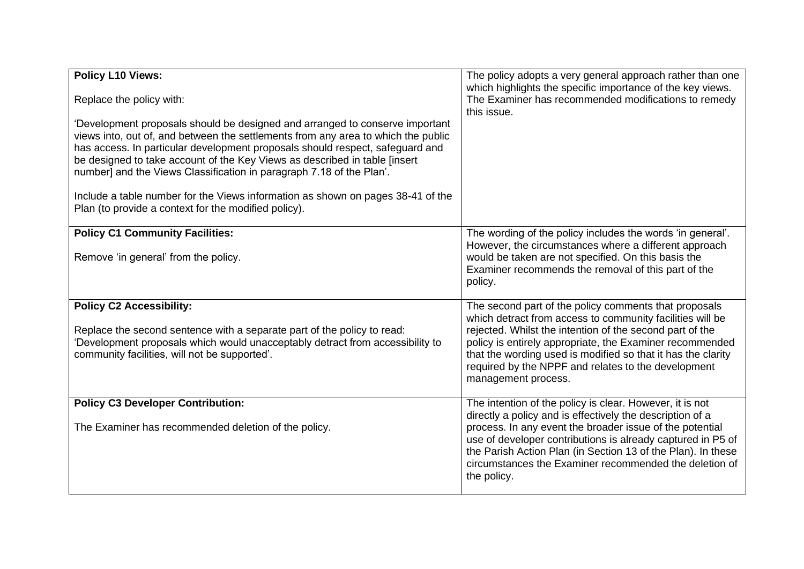| <b>Policy L10 Views:</b><br>Replace the policy with:<br>'Development proposals should be designed and arranged to conserve important<br>views into, out of, and between the settlements from any area to which the public<br>has access. In particular development proposals should respect, safeguard and<br>be designed to take account of the Key Views as described in table [insert<br>number] and the Views Classification in paragraph 7.18 of the Plan'.<br>Include a table number for the Views information as shown on pages 38-41 of the<br>Plan (to provide a context for the modified policy). | The policy adopts a very general approach rather than one<br>which highlights the specific importance of the key views.<br>The Examiner has recommended modifications to remedy<br>this issue.                                                                                                                                                                                            |
|-------------------------------------------------------------------------------------------------------------------------------------------------------------------------------------------------------------------------------------------------------------------------------------------------------------------------------------------------------------------------------------------------------------------------------------------------------------------------------------------------------------------------------------------------------------------------------------------------------------|-------------------------------------------------------------------------------------------------------------------------------------------------------------------------------------------------------------------------------------------------------------------------------------------------------------------------------------------------------------------------------------------|
| <b>Policy C1 Community Facilities:</b><br>Remove 'in general' from the policy.                                                                                                                                                                                                                                                                                                                                                                                                                                                                                                                              | The wording of the policy includes the words 'in general'.<br>However, the circumstances where a different approach<br>would be taken are not specified. On this basis the<br>Examiner recommends the removal of this part of the<br>policy.                                                                                                                                              |
| <b>Policy C2 Accessibility:</b><br>Replace the second sentence with a separate part of the policy to read:<br>'Development proposals which would unacceptably detract from accessibility to<br>community facilities, will not be supported'.                                                                                                                                                                                                                                                                                                                                                                | The second part of the policy comments that proposals<br>which detract from access to community facilities will be<br>rejected. Whilst the intention of the second part of the<br>policy is entirely appropriate, the Examiner recommended<br>that the wording used is modified so that it has the clarity<br>required by the NPPF and relates to the development<br>management process.  |
| <b>Policy C3 Developer Contribution:</b><br>The Examiner has recommended deletion of the policy.                                                                                                                                                                                                                                                                                                                                                                                                                                                                                                            | The intention of the policy is clear. However, it is not<br>directly a policy and is effectively the description of a<br>process. In any event the broader issue of the potential<br>use of developer contributions is already captured in P5 of<br>the Parish Action Plan (in Section 13 of the Plan). In these<br>circumstances the Examiner recommended the deletion of<br>the policy. |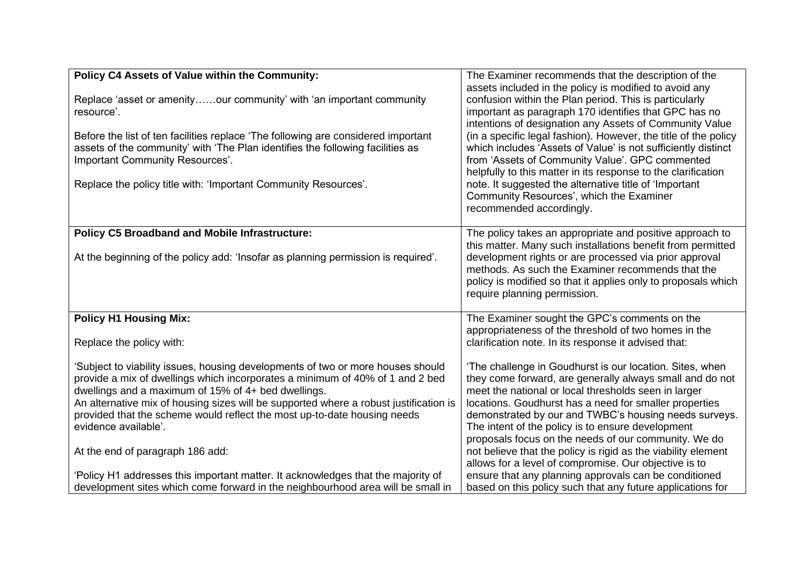| Policy C4 Assets of Value within the Community:                                       | The Examiner recommends that the description of the             |
|---------------------------------------------------------------------------------------|-----------------------------------------------------------------|
|                                                                                       | assets included in the policy is modified to avoid any          |
| Replace 'asset or amenityour community' with 'an important community                  | confusion within the Plan period. This is particularly          |
| resource'.                                                                            | important as paragraph 170 identifies that GPC has no           |
|                                                                                       | intentions of designation any Assets of Community Value         |
| Before the list of ten facilities replace 'The following are considered important     | (in a specific legal fashion). However, the title of the policy |
| assets of the community' with 'The Plan identifies the following facilities as        | which includes 'Assets of Value' is not sufficiently distinct   |
| <b>Important Community Resources'.</b>                                                | from 'Assets of Community Value'. GPC commented                 |
|                                                                                       | helpfully to this matter in its response to the clarification   |
|                                                                                       |                                                                 |
| Replace the policy title with: 'Important Community Resources'.                       | note. It suggested the alternative title of 'Important          |
|                                                                                       | Community Resources', which the Examiner                        |
|                                                                                       | recommended accordingly.                                        |
| <b>Policy C5 Broadband and Mobile Infrastructure:</b>                                 | The policy takes an appropriate and positive approach to        |
|                                                                                       | this matter. Many such installations benefit from permitted     |
| At the beginning of the policy add: 'Insofar as planning permission is required'.     | development rights or are processed via prior approval          |
|                                                                                       | methods. As such the Examiner recommends that the               |
|                                                                                       | policy is modified so that it applies only to proposals which   |
|                                                                                       | require planning permission.                                    |
|                                                                                       |                                                                 |
| <b>Policy H1 Housing Mix:</b>                                                         | The Examiner sought the GPC's comments on the                   |
|                                                                                       | appropriateness of the threshold of two homes in the            |
| Replace the policy with:                                                              | clarification note. In its response it advised that:            |
|                                                                                       |                                                                 |
| 'Subject to viability issues, housing developments of two or more houses should       | 'The challenge in Goudhurst is our location. Sites, when        |
| provide a mix of dwellings which incorporates a minimum of 40% of 1 and 2 bed         | they come forward, are generally always small and do not        |
| dwellings and a maximum of 15% of 4+ bed dwellings.                                   | meet the national or local thresholds seen in larger            |
| An alternative mix of housing sizes will be supported where a robust justification is | locations. Goudhurst has a need for smaller properties          |
| provided that the scheme would reflect the most up-to-date housing needs              | demonstrated by our and TWBC's housing needs surveys.           |
| evidence available'.                                                                  | The intent of the policy is to ensure development               |
|                                                                                       | proposals focus on the needs of our community. We do            |
| At the end of paragraph 186 add:                                                      | not believe that the policy is rigid as the viability element   |
|                                                                                       | allows for a level of compromise. Our objective is to           |
| 'Policy H1 addresses this important matter. It acknowledges that the majority of      | ensure that any planning approvals can be conditioned           |
| development sites which come forward in the neighbourhood area will be small in       | based on this policy such that any future applications for      |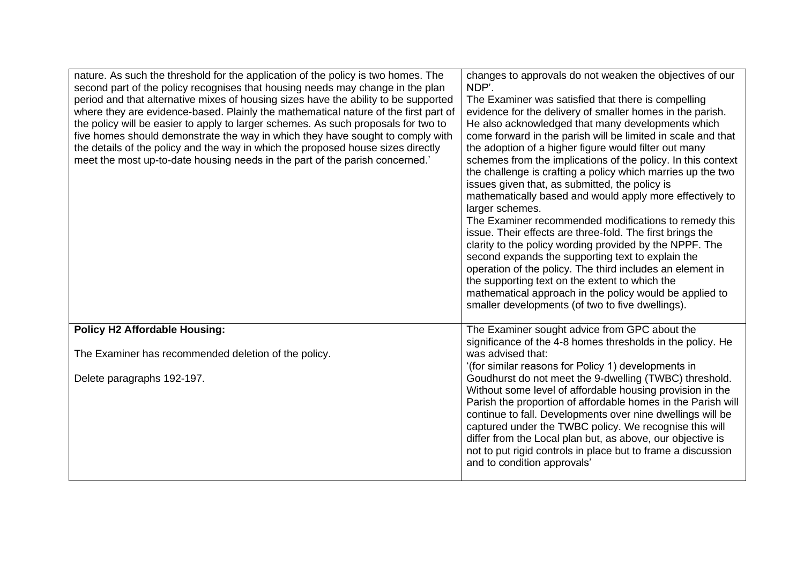| nature. As such the threshold for the application of the policy is two homes. The<br>second part of the policy recognises that housing needs may change in the plan<br>period and that alternative mixes of housing sizes have the ability to be supported<br>where they are evidence-based. Plainly the mathematical nature of the first part of<br>the policy will be easier to apply to larger schemes. As such proposals for two to<br>five homes should demonstrate the way in which they have sought to comply with<br>the details of the policy and the way in which the proposed house sizes directly<br>meet the most up-to-date housing needs in the part of the parish concerned.' | changes to approvals do not weaken the objectives of our<br>NDP'.<br>The Examiner was satisfied that there is compelling<br>evidence for the delivery of smaller homes in the parish.<br>He also acknowledged that many developments which<br>come forward in the parish will be limited in scale and that<br>the adoption of a higher figure would filter out many<br>schemes from the implications of the policy. In this context<br>the challenge is crafting a policy which marries up the two<br>issues given that, as submitted, the policy is<br>mathematically based and would apply more effectively to<br>larger schemes.<br>The Examiner recommended modifications to remedy this<br>issue. Their effects are three-fold. The first brings the<br>clarity to the policy wording provided by the NPPF. The<br>second expands the supporting text to explain the<br>operation of the policy. The third includes an element in<br>the supporting text on the extent to which the<br>mathematical approach in the policy would be applied to<br>smaller developments (of two to five dwellings). |
|-----------------------------------------------------------------------------------------------------------------------------------------------------------------------------------------------------------------------------------------------------------------------------------------------------------------------------------------------------------------------------------------------------------------------------------------------------------------------------------------------------------------------------------------------------------------------------------------------------------------------------------------------------------------------------------------------|---------------------------------------------------------------------------------------------------------------------------------------------------------------------------------------------------------------------------------------------------------------------------------------------------------------------------------------------------------------------------------------------------------------------------------------------------------------------------------------------------------------------------------------------------------------------------------------------------------------------------------------------------------------------------------------------------------------------------------------------------------------------------------------------------------------------------------------------------------------------------------------------------------------------------------------------------------------------------------------------------------------------------------------------------------------------------------------------------------|
| <b>Policy H2 Affordable Housing:</b><br>The Examiner has recommended deletion of the policy.<br>Delete paragraphs 192-197.                                                                                                                                                                                                                                                                                                                                                                                                                                                                                                                                                                    | The Examiner sought advice from GPC about the<br>significance of the 4-8 homes thresholds in the policy. He<br>was advised that:<br>'(for similar reasons for Policy 1) developments in<br>Goudhurst do not meet the 9-dwelling (TWBC) threshold.<br>Without some level of affordable housing provision in the<br>Parish the proportion of affordable homes in the Parish will<br>continue to fall. Developments over nine dwellings will be<br>captured under the TWBC policy. We recognise this will<br>differ from the Local plan but, as above, our objective is<br>not to put rigid controls in place but to frame a discussion<br>and to condition approvals'                                                                                                                                                                                                                                                                                                                                                                                                                                     |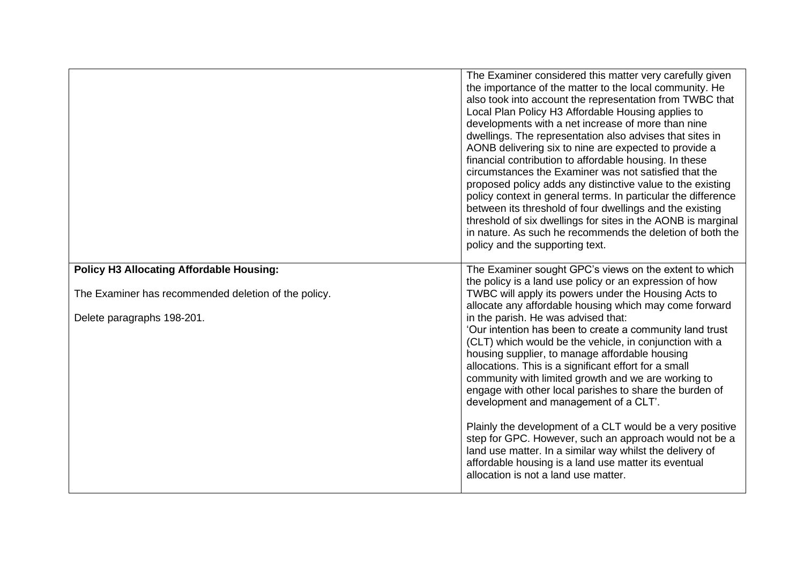|                                                      | The Examiner considered this matter very carefully given<br>the importance of the matter to the local community. He<br>also took into account the representation from TWBC that<br>Local Plan Policy H3 Affordable Housing applies to<br>developments with a net increase of more than nine<br>dwellings. The representation also advises that sites in<br>AONB delivering six to nine are expected to provide a<br>financial contribution to affordable housing. In these<br>circumstances the Examiner was not satisfied that the<br>proposed policy adds any distinctive value to the existing<br>policy context in general terms. In particular the difference<br>between its threshold of four dwellings and the existing<br>threshold of six dwellings for sites in the AONB is marginal<br>in nature. As such he recommends the deletion of both the<br>policy and the supporting text. |
|------------------------------------------------------|------------------------------------------------------------------------------------------------------------------------------------------------------------------------------------------------------------------------------------------------------------------------------------------------------------------------------------------------------------------------------------------------------------------------------------------------------------------------------------------------------------------------------------------------------------------------------------------------------------------------------------------------------------------------------------------------------------------------------------------------------------------------------------------------------------------------------------------------------------------------------------------------|
| <b>Policy H3 Allocating Affordable Housing:</b>      | The Examiner sought GPC's views on the extent to which<br>the policy is a land use policy or an expression of how                                                                                                                                                                                                                                                                                                                                                                                                                                                                                                                                                                                                                                                                                                                                                                              |
| The Examiner has recommended deletion of the policy. | TWBC will apply its powers under the Housing Acts to<br>allocate any affordable housing which may come forward                                                                                                                                                                                                                                                                                                                                                                                                                                                                                                                                                                                                                                                                                                                                                                                 |
| Delete paragraphs 198-201.                           | in the parish. He was advised that:<br>'Our intention has been to create a community land trust                                                                                                                                                                                                                                                                                                                                                                                                                                                                                                                                                                                                                                                                                                                                                                                                |
|                                                      | (CLT) which would be the vehicle, in conjunction with a                                                                                                                                                                                                                                                                                                                                                                                                                                                                                                                                                                                                                                                                                                                                                                                                                                        |
|                                                      | housing supplier, to manage affordable housing<br>allocations. This is a significant effort for a small                                                                                                                                                                                                                                                                                                                                                                                                                                                                                                                                                                                                                                                                                                                                                                                        |
|                                                      | community with limited growth and we are working to<br>engage with other local parishes to share the burden of<br>development and management of a CLT'.                                                                                                                                                                                                                                                                                                                                                                                                                                                                                                                                                                                                                                                                                                                                        |
|                                                      | Plainly the development of a CLT would be a very positive<br>step for GPC. However, such an approach would not be a<br>land use matter. In a similar way whilst the delivery of<br>affordable housing is a land use matter its eventual<br>allocation is not a land use matter.                                                                                                                                                                                                                                                                                                                                                                                                                                                                                                                                                                                                                |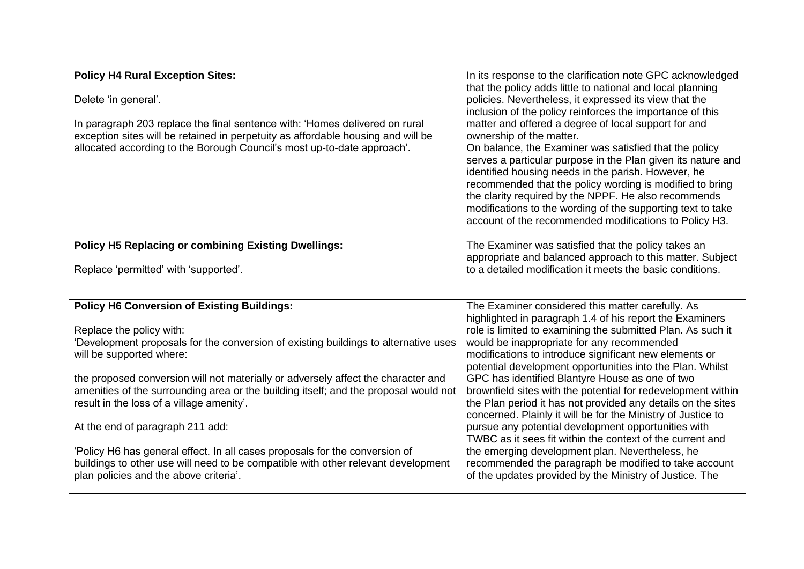| <b>Policy H4 Rural Exception Sites:</b><br>Delete 'in general'.<br>In paragraph 203 replace the final sentence with: 'Homes delivered on rural<br>exception sites will be retained in perpetuity as affordable housing and will be<br>allocated according to the Borough Council's most up-to-date approach'. | In its response to the clarification note GPC acknowledged<br>that the policy adds little to national and local planning<br>policies. Nevertheless, it expressed its view that the<br>inclusion of the policy reinforces the importance of this<br>matter and offered a degree of local support for and<br>ownership of the matter.<br>On balance, the Examiner was satisfied that the policy<br>serves a particular purpose in the Plan given its nature and<br>identified housing needs in the parish. However, he<br>recommended that the policy wording is modified to bring<br>the clarity required by the NPPF. He also recommends<br>modifications to the wording of the supporting text to take<br>account of the recommended modifications to Policy H3. |
|---------------------------------------------------------------------------------------------------------------------------------------------------------------------------------------------------------------------------------------------------------------------------------------------------------------|-------------------------------------------------------------------------------------------------------------------------------------------------------------------------------------------------------------------------------------------------------------------------------------------------------------------------------------------------------------------------------------------------------------------------------------------------------------------------------------------------------------------------------------------------------------------------------------------------------------------------------------------------------------------------------------------------------------------------------------------------------------------|
| <b>Policy H5 Replacing or combining Existing Dwellings:</b>                                                                                                                                                                                                                                                   | The Examiner was satisfied that the policy takes an                                                                                                                                                                                                                                                                                                                                                                                                                                                                                                                                                                                                                                                                                                               |
| Replace 'permitted' with 'supported'.                                                                                                                                                                                                                                                                         | appropriate and balanced approach to this matter. Subject<br>to a detailed modification it meets the basic conditions.                                                                                                                                                                                                                                                                                                                                                                                                                                                                                                                                                                                                                                            |
| <b>Policy H6 Conversion of Existing Buildings:</b>                                                                                                                                                                                                                                                            | The Examiner considered this matter carefully. As<br>highlighted in paragraph 1.4 of his report the Examiners                                                                                                                                                                                                                                                                                                                                                                                                                                                                                                                                                                                                                                                     |
| Replace the policy with:<br>'Development proposals for the conversion of existing buildings to alternative uses                                                                                                                                                                                               | role is limited to examining the submitted Plan. As such it<br>would be inappropriate for any recommended                                                                                                                                                                                                                                                                                                                                                                                                                                                                                                                                                                                                                                                         |
| will be supported where:<br>the proposed conversion will not materially or adversely affect the character and                                                                                                                                                                                                 | modifications to introduce significant new elements or<br>potential development opportunities into the Plan. Whilst<br>GPC has identified Blantyre House as one of two                                                                                                                                                                                                                                                                                                                                                                                                                                                                                                                                                                                            |
| amenities of the surrounding area or the building itself; and the proposal would not<br>result in the loss of a village amenity'.                                                                                                                                                                             | brownfield sites with the potential for redevelopment within<br>the Plan period it has not provided any details on the sites<br>concerned. Plainly it will be for the Ministry of Justice to                                                                                                                                                                                                                                                                                                                                                                                                                                                                                                                                                                      |
| At the end of paragraph 211 add:                                                                                                                                                                                                                                                                              | pursue any potential development opportunities with<br>TWBC as it sees fit within the context of the current and                                                                                                                                                                                                                                                                                                                                                                                                                                                                                                                                                                                                                                                  |
| 'Policy H6 has general effect. In all cases proposals for the conversion of<br>buildings to other use will need to be compatible with other relevant development<br>plan policies and the above criteria'.                                                                                                    | the emerging development plan. Nevertheless, he<br>recommended the paragraph be modified to take account<br>of the updates provided by the Ministry of Justice. The                                                                                                                                                                                                                                                                                                                                                                                                                                                                                                                                                                                               |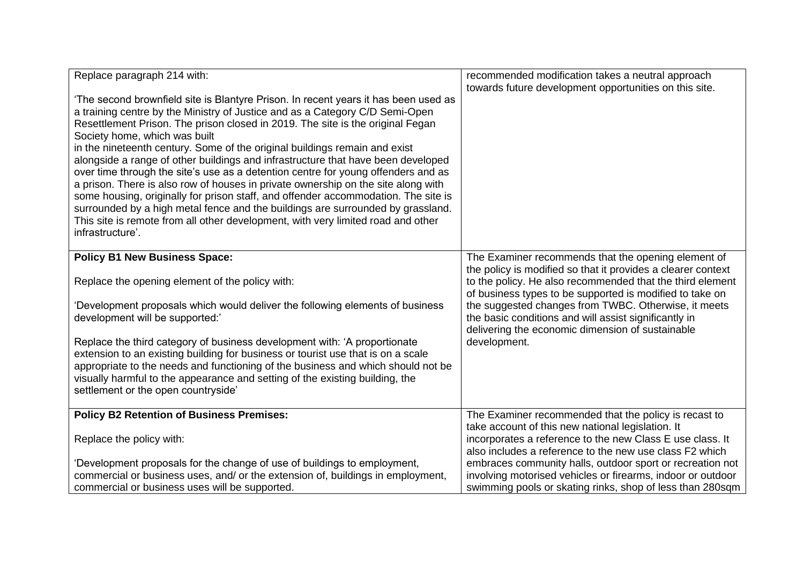| Replace paragraph 214 with:<br>'The second brownfield site is Blantyre Prison. In recent years it has been used as<br>a training centre by the Ministry of Justice and as a Category C/D Semi-Open<br>Resettlement Prison. The prison closed in 2019. The site is the original Fegan<br>Society home, which was built<br>in the nineteenth century. Some of the original buildings remain and exist<br>alongside a range of other buildings and infrastructure that have been developed<br>over time through the site's use as a detention centre for young offenders and as<br>a prison. There is also row of houses in private ownership on the site along with<br>some housing, originally for prison staff, and offender accommodation. The site is<br>surrounded by a high metal fence and the buildings are surrounded by grassland.<br>This site is remote from all other development, with very limited road and other<br>infrastructure'.<br><b>Policy B1 New Business Space:</b><br>Replace the opening element of the policy with:<br>'Development proposals which would deliver the following elements of business<br>development will be supported:' | recommended modification takes a neutral approach<br>towards future development opportunities on this site.<br>The Examiner recommends that the opening element of<br>the policy is modified so that it provides a clearer context<br>to the policy. He also recommended that the third element<br>of business types to be supported is modified to take on<br>the suggested changes from TWBC. Otherwise, it meets<br>the basic conditions and will assist significantly in<br>delivering the economic dimension of sustainable |
|-------------------------------------------------------------------------------------------------------------------------------------------------------------------------------------------------------------------------------------------------------------------------------------------------------------------------------------------------------------------------------------------------------------------------------------------------------------------------------------------------------------------------------------------------------------------------------------------------------------------------------------------------------------------------------------------------------------------------------------------------------------------------------------------------------------------------------------------------------------------------------------------------------------------------------------------------------------------------------------------------------------------------------------------------------------------------------------------------------------------------------------------------------------------|----------------------------------------------------------------------------------------------------------------------------------------------------------------------------------------------------------------------------------------------------------------------------------------------------------------------------------------------------------------------------------------------------------------------------------------------------------------------------------------------------------------------------------|
| Replace the third category of business development with: 'A proportionate<br>extension to an existing building for business or tourist use that is on a scale<br>appropriate to the needs and functioning of the business and which should not be<br>visually harmful to the appearance and setting of the existing building, the<br>settlement or the open countryside'                                                                                                                                                                                                                                                                                                                                                                                                                                                                                                                                                                                                                                                                                                                                                                                          | development.                                                                                                                                                                                                                                                                                                                                                                                                                                                                                                                     |
| <b>Policy B2 Retention of Business Premises:</b>                                                                                                                                                                                                                                                                                                                                                                                                                                                                                                                                                                                                                                                                                                                                                                                                                                                                                                                                                                                                                                                                                                                  | The Examiner recommended that the policy is recast to                                                                                                                                                                                                                                                                                                                                                                                                                                                                            |
|                                                                                                                                                                                                                                                                                                                                                                                                                                                                                                                                                                                                                                                                                                                                                                                                                                                                                                                                                                                                                                                                                                                                                                   | take account of this new national legislation. It                                                                                                                                                                                                                                                                                                                                                                                                                                                                                |
| Replace the policy with:                                                                                                                                                                                                                                                                                                                                                                                                                                                                                                                                                                                                                                                                                                                                                                                                                                                                                                                                                                                                                                                                                                                                          | incorporates a reference to the new Class E use class. It                                                                                                                                                                                                                                                                                                                                                                                                                                                                        |
| 'Development proposals for the change of use of buildings to employment,                                                                                                                                                                                                                                                                                                                                                                                                                                                                                                                                                                                                                                                                                                                                                                                                                                                                                                                                                                                                                                                                                          | also includes a reference to the new use class F2 which                                                                                                                                                                                                                                                                                                                                                                                                                                                                          |
| commercial or business uses, and/ or the extension of, buildings in employment,                                                                                                                                                                                                                                                                                                                                                                                                                                                                                                                                                                                                                                                                                                                                                                                                                                                                                                                                                                                                                                                                                   | embraces community halls, outdoor sport or recreation not<br>involving motorised vehicles or firearms, indoor or outdoor                                                                                                                                                                                                                                                                                                                                                                                                         |
| commercial or business uses will be supported.                                                                                                                                                                                                                                                                                                                                                                                                                                                                                                                                                                                                                                                                                                                                                                                                                                                                                                                                                                                                                                                                                                                    | swimming pools or skating rinks, shop of less than 280sqm                                                                                                                                                                                                                                                                                                                                                                                                                                                                        |
|                                                                                                                                                                                                                                                                                                                                                                                                                                                                                                                                                                                                                                                                                                                                                                                                                                                                                                                                                                                                                                                                                                                                                                   |                                                                                                                                                                                                                                                                                                                                                                                                                                                                                                                                  |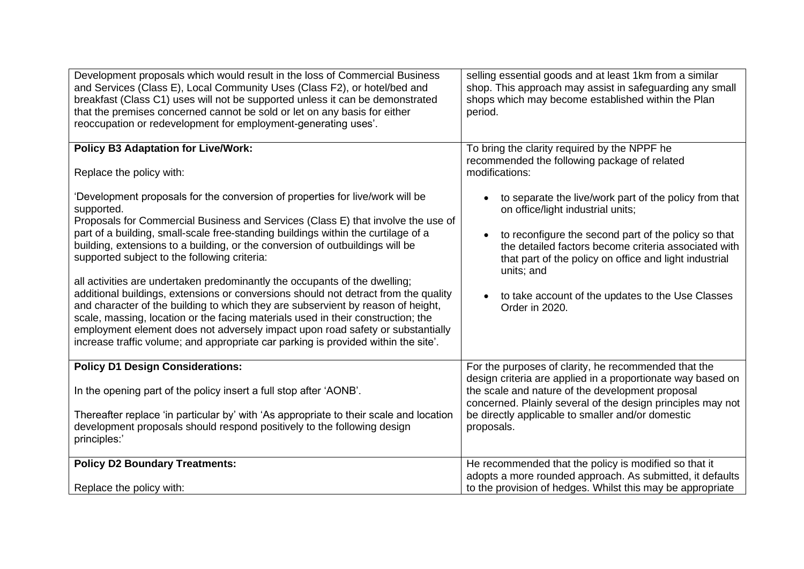| Development proposals which would result in the loss of Commercial Business<br>and Services (Class E), Local Community Uses (Class F2), or hotel/bed and<br>breakfast (Class C1) uses will not be supported unless it can be demonstrated<br>that the premises concerned cannot be sold or let on any basis for either<br>reoccupation or redevelopment for employment-generating uses'.                                                                                                                                                                                                                                                                                                                                                                                                                                                  | selling essential goods and at least 1km from a similar<br>shop. This approach may assist in safeguarding any small<br>shops which may become established within the Plan<br>period.                                                                                                                      |
|-------------------------------------------------------------------------------------------------------------------------------------------------------------------------------------------------------------------------------------------------------------------------------------------------------------------------------------------------------------------------------------------------------------------------------------------------------------------------------------------------------------------------------------------------------------------------------------------------------------------------------------------------------------------------------------------------------------------------------------------------------------------------------------------------------------------------------------------|-----------------------------------------------------------------------------------------------------------------------------------------------------------------------------------------------------------------------------------------------------------------------------------------------------------|
| <b>Policy B3 Adaptation for Live/Work:</b><br>Replace the policy with:<br>'Development proposals for the conversion of properties for live/work will be                                                                                                                                                                                                                                                                                                                                                                                                                                                                                                                                                                                                                                                                                   | To bring the clarity required by the NPPF he<br>recommended the following package of related<br>modifications:<br>to separate the live/work part of the policy from that                                                                                                                                  |
| supported.<br>Proposals for Commercial Business and Services (Class E) that involve the use of<br>part of a building, small-scale free-standing buildings within the curtilage of a<br>building, extensions to a building, or the conversion of outbuildings will be<br>supported subject to the following criteria:<br>all activities are undertaken predominantly the occupants of the dwelling;<br>additional buildings, extensions or conversions should not detract from the quality<br>and character of the building to which they are subservient by reason of height,<br>scale, massing, location or the facing materials used in their construction; the<br>employment element does not adversely impact upon road safety or substantially<br>increase traffic volume; and appropriate car parking is provided within the site'. | on office/light industrial units;<br>to reconfigure the second part of the policy so that<br>the detailed factors become criteria associated with<br>that part of the policy on office and light industrial<br>units; and<br>to take account of the updates to the Use Classes<br>Order in 2020.          |
| <b>Policy D1 Design Considerations:</b><br>In the opening part of the policy insert a full stop after 'AONB'.<br>Thereafter replace 'in particular by' with 'As appropriate to their scale and location<br>development proposals should respond positively to the following design<br>principles:'                                                                                                                                                                                                                                                                                                                                                                                                                                                                                                                                        | For the purposes of clarity, he recommended that the<br>design criteria are applied in a proportionate way based on<br>the scale and nature of the development proposal<br>concerned. Plainly several of the design principles may not<br>be directly applicable to smaller and/or domestic<br>proposals. |
| <b>Policy D2 Boundary Treatments:</b><br>Replace the policy with:                                                                                                                                                                                                                                                                                                                                                                                                                                                                                                                                                                                                                                                                                                                                                                         | He recommended that the policy is modified so that it<br>adopts a more rounded approach. As submitted, it defaults<br>to the provision of hedges. Whilst this may be appropriate                                                                                                                          |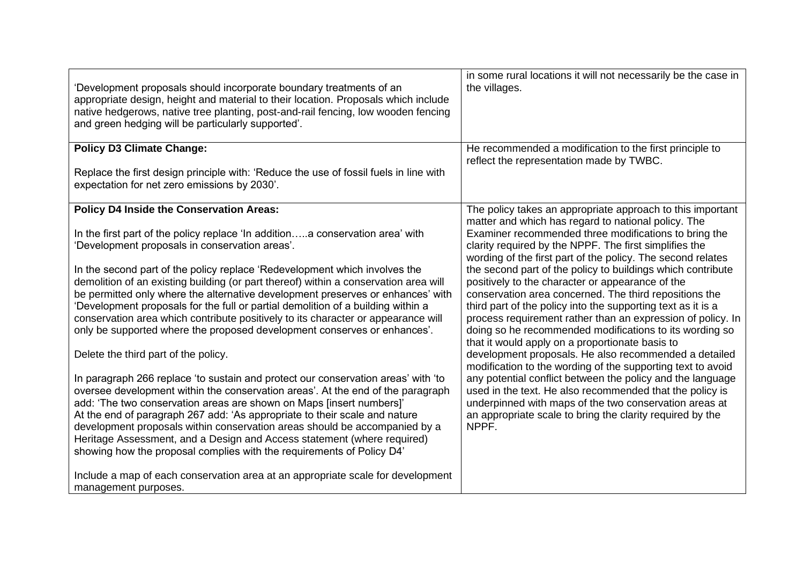| 'Development proposals should incorporate boundary treatments of an<br>appropriate design, height and material to their location. Proposals which include<br>native hedgerows, native tree planting, post-and-rail fencing, low wooden fencing<br>and green hedging will be particularly supported'.                                                                                                                                                                                                                                                                                                                                                                                                                                                                                                                                                                                                                                                                                                                                                                                                                                                                                                                                                                                                                                                                                                                | in some rural locations it will not necessarily be the case in<br>the villages.                                                                                                                                                                                                                                                                                                                                                                                                                                                                                                                                                                                                                                                                                                                                                                                                                                                                                                                                                                                                                                 |
|---------------------------------------------------------------------------------------------------------------------------------------------------------------------------------------------------------------------------------------------------------------------------------------------------------------------------------------------------------------------------------------------------------------------------------------------------------------------------------------------------------------------------------------------------------------------------------------------------------------------------------------------------------------------------------------------------------------------------------------------------------------------------------------------------------------------------------------------------------------------------------------------------------------------------------------------------------------------------------------------------------------------------------------------------------------------------------------------------------------------------------------------------------------------------------------------------------------------------------------------------------------------------------------------------------------------------------------------------------------------------------------------------------------------|-----------------------------------------------------------------------------------------------------------------------------------------------------------------------------------------------------------------------------------------------------------------------------------------------------------------------------------------------------------------------------------------------------------------------------------------------------------------------------------------------------------------------------------------------------------------------------------------------------------------------------------------------------------------------------------------------------------------------------------------------------------------------------------------------------------------------------------------------------------------------------------------------------------------------------------------------------------------------------------------------------------------------------------------------------------------------------------------------------------------|
| <b>Policy D3 Climate Change:</b><br>Replace the first design principle with: 'Reduce the use of fossil fuels in line with<br>expectation for net zero emissions by 2030'.                                                                                                                                                                                                                                                                                                                                                                                                                                                                                                                                                                                                                                                                                                                                                                                                                                                                                                                                                                                                                                                                                                                                                                                                                                           | He recommended a modification to the first principle to<br>reflect the representation made by TWBC.                                                                                                                                                                                                                                                                                                                                                                                                                                                                                                                                                                                                                                                                                                                                                                                                                                                                                                                                                                                                             |
| <b>Policy D4 Inside the Conservation Areas:</b><br>In the first part of the policy replace 'In additiona conservation area' with<br>'Development proposals in conservation areas'.<br>In the second part of the policy replace 'Redevelopment which involves the<br>demolition of an existing building (or part thereof) within a conservation area will<br>be permitted only where the alternative development preserves or enhances' with<br>'Development proposals for the full or partial demolition of a building within a<br>conservation area which contribute positively to its character or appearance will<br>only be supported where the proposed development conserves or enhances'.<br>Delete the third part of the policy.<br>In paragraph 266 replace 'to sustain and protect our conservation areas' with 'to<br>oversee development within the conservation areas'. At the end of the paragraph<br>add: 'The two conservation areas are shown on Maps [insert numbers]'<br>At the end of paragraph 267 add: 'As appropriate to their scale and nature<br>development proposals within conservation areas should be accompanied by a<br>Heritage Assessment, and a Design and Access statement (where required)<br>showing how the proposal complies with the requirements of Policy D4'<br>Include a map of each conservation area at an appropriate scale for development<br>management purposes. | The policy takes an appropriate approach to this important<br>matter and which has regard to national policy. The<br>Examiner recommended three modifications to bring the<br>clarity required by the NPPF. The first simplifies the<br>wording of the first part of the policy. The second relates<br>the second part of the policy to buildings which contribute<br>positively to the character or appearance of the<br>conservation area concerned. The third repositions the<br>third part of the policy into the supporting text as it is a<br>process requirement rather than an expression of policy. In<br>doing so he recommended modifications to its wording so<br>that it would apply on a proportionate basis to<br>development proposals. He also recommended a detailed<br>modification to the wording of the supporting text to avoid<br>any potential conflict between the policy and the language<br>used in the text. He also recommended that the policy is<br>underpinned with maps of the two conservation areas at<br>an appropriate scale to bring the clarity required by the<br>NPPF. |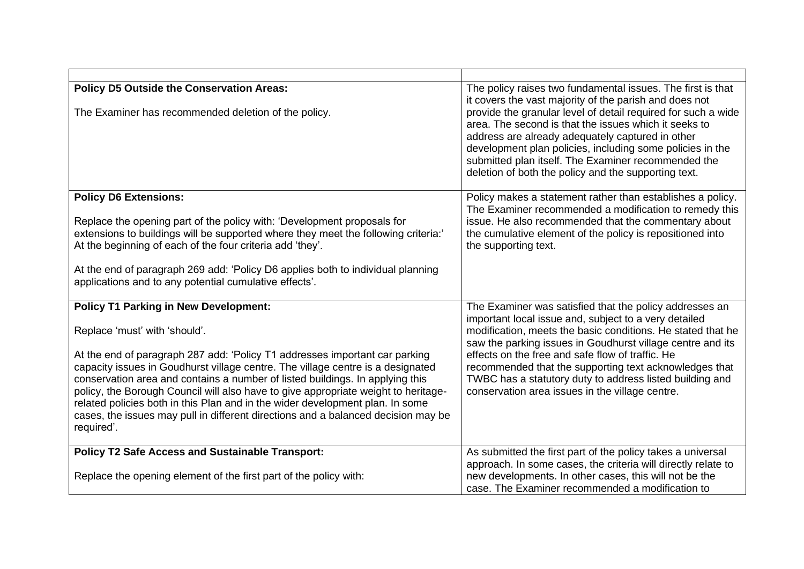| <b>Policy D5 Outside the Conservation Areas:</b><br>The Examiner has recommended deletion of the policy.                                                                                                                                                                                                                                                                                                                                                                                                                                                                                                   | The policy raises two fundamental issues. The first is that<br>it covers the vast majority of the parish and does not<br>provide the granular level of detail required for such a wide<br>area. The second is that the issues which it seeks to<br>address are already adequately captured in other<br>development plan policies, including some policies in the<br>submitted plan itself. The Examiner recommended the<br>deletion of both the policy and the supporting text. |
|------------------------------------------------------------------------------------------------------------------------------------------------------------------------------------------------------------------------------------------------------------------------------------------------------------------------------------------------------------------------------------------------------------------------------------------------------------------------------------------------------------------------------------------------------------------------------------------------------------|---------------------------------------------------------------------------------------------------------------------------------------------------------------------------------------------------------------------------------------------------------------------------------------------------------------------------------------------------------------------------------------------------------------------------------------------------------------------------------|
| <b>Policy D6 Extensions:</b><br>Replace the opening part of the policy with: 'Development proposals for<br>extensions to buildings will be supported where they meet the following criteria:'<br>At the beginning of each of the four criteria add 'they'.<br>At the end of paragraph 269 add: 'Policy D6 applies both to individual planning<br>applications and to any potential cumulative effects'.                                                                                                                                                                                                    | Policy makes a statement rather than establishes a policy.<br>The Examiner recommended a modification to remedy this<br>issue. He also recommended that the commentary about<br>the cumulative element of the policy is repositioned into<br>the supporting text.                                                                                                                                                                                                               |
| <b>Policy T1 Parking in New Development:</b><br>Replace 'must' with 'should'.<br>At the end of paragraph 287 add: 'Policy T1 addresses important car parking<br>capacity issues in Goudhurst village centre. The village centre is a designated<br>conservation area and contains a number of listed buildings. In applying this<br>policy, the Borough Council will also have to give appropriate weight to heritage-<br>related policies both in this Plan and in the wider development plan. In some<br>cases, the issues may pull in different directions and a balanced decision may be<br>required'. | The Examiner was satisfied that the policy addresses an<br>important local issue and, subject to a very detailed<br>modification, meets the basic conditions. He stated that he<br>saw the parking issues in Goudhurst village centre and its<br>effects on the free and safe flow of traffic. He<br>recommended that the supporting text acknowledges that<br>TWBC has a statutory duty to address listed building and<br>conservation area issues in the village centre.      |
| <b>Policy T2 Safe Access and Sustainable Transport:</b><br>Replace the opening element of the first part of the policy with:                                                                                                                                                                                                                                                                                                                                                                                                                                                                               | As submitted the first part of the policy takes a universal<br>approach. In some cases, the criteria will directly relate to<br>new developments. In other cases, this will not be the<br>case. The Examiner recommended a modification to                                                                                                                                                                                                                                      |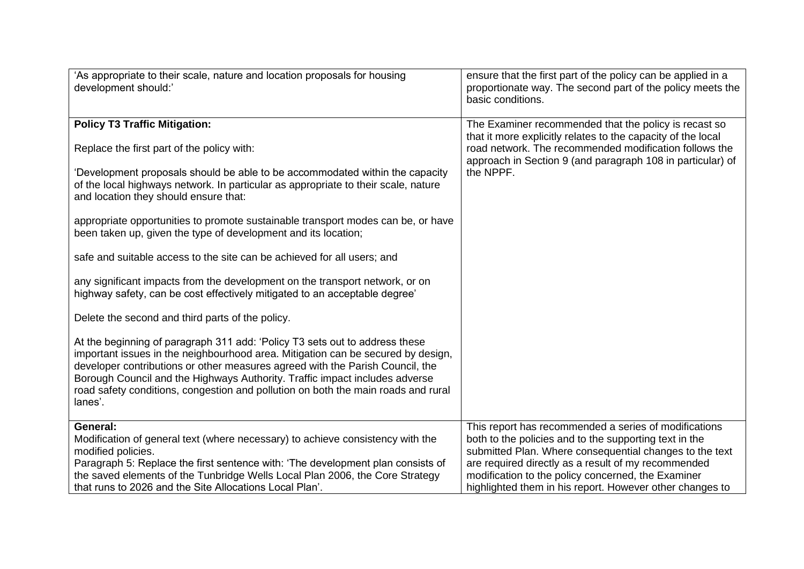| 'As appropriate to their scale, nature and location proposals for housing<br>development should:'                                                                                                                                                                                                                                                                                                                                                                                                                                                                                                                                                                                                                                                                                                                                                                                                                                                                                                                                                                                                                                                                                      | ensure that the first part of the policy can be applied in a<br>proportionate way. The second part of the policy meets the<br>basic conditions.                                                                                                                                                                                                     |
|----------------------------------------------------------------------------------------------------------------------------------------------------------------------------------------------------------------------------------------------------------------------------------------------------------------------------------------------------------------------------------------------------------------------------------------------------------------------------------------------------------------------------------------------------------------------------------------------------------------------------------------------------------------------------------------------------------------------------------------------------------------------------------------------------------------------------------------------------------------------------------------------------------------------------------------------------------------------------------------------------------------------------------------------------------------------------------------------------------------------------------------------------------------------------------------|-----------------------------------------------------------------------------------------------------------------------------------------------------------------------------------------------------------------------------------------------------------------------------------------------------------------------------------------------------|
| <b>Policy T3 Traffic Mitigation:</b><br>Replace the first part of the policy with:<br>Development proposals should be able to be accommodated within the capacity<br>of the local highways network. In particular as appropriate to their scale, nature<br>and location they should ensure that:<br>appropriate opportunities to promote sustainable transport modes can be, or have<br>been taken up, given the type of development and its location;<br>safe and suitable access to the site can be achieved for all users; and<br>any significant impacts from the development on the transport network, or on<br>highway safety, can be cost effectively mitigated to an acceptable degree'<br>Delete the second and third parts of the policy.<br>At the beginning of paragraph 311 add: 'Policy T3 sets out to address these<br>important issues in the neighbourhood area. Mitigation can be secured by design,<br>developer contributions or other measures agreed with the Parish Council, the<br>Borough Council and the Highways Authority. Traffic impact includes adverse<br>road safety conditions, congestion and pollution on both the main roads and rural<br>lanes'. | The Examiner recommended that the policy is recast so<br>that it more explicitly relates to the capacity of the local<br>road network. The recommended modification follows the<br>approach in Section 9 (and paragraph 108 in particular) of<br>the NPPF.                                                                                          |
| General:<br>Modification of general text (where necessary) to achieve consistency with the<br>modified policies.<br>Paragraph 5: Replace the first sentence with: 'The development plan consists of<br>the saved elements of the Tunbridge Wells Local Plan 2006, the Core Strategy<br>that runs to 2026 and the Site Allocations Local Plan'.                                                                                                                                                                                                                                                                                                                                                                                                                                                                                                                                                                                                                                                                                                                                                                                                                                         | This report has recommended a series of modifications<br>both to the policies and to the supporting text in the<br>submitted Plan. Where consequential changes to the text<br>are required directly as a result of my recommended<br>modification to the policy concerned, the Examiner<br>highlighted them in his report. However other changes to |